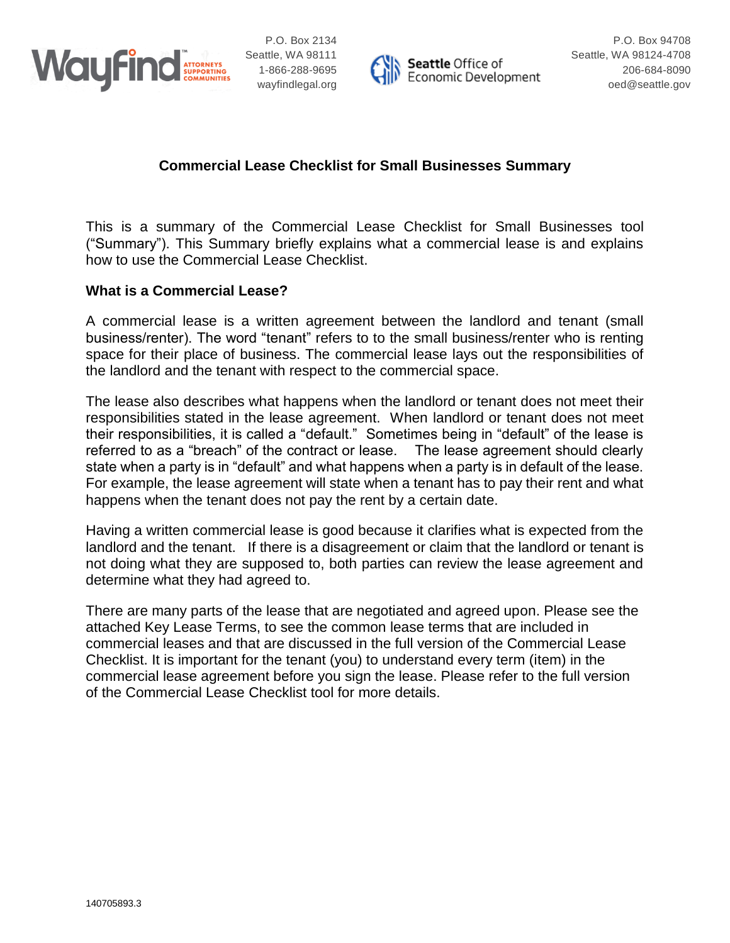



## **Commercial Lease Checklist for Small Businesses Summary**

This is a summary of the Commercial Lease Checklist for Small Businesses tool ("Summary"). This Summary briefly explains what a commercial lease is and explains how to use the Commercial Lease Checklist.

#### **What is a Commercial Lease?**

A commercial lease is a written agreement between the landlord and tenant (small business/renter). The word "tenant" refers to to the small business/renter who is renting space for their place of business. The commercial lease lays out the responsibilities of the landlord and the tenant with respect to the commercial space.

The lease also describes what happens when the landlord or tenant does not meet their responsibilities stated in the lease agreement. When landlord or tenant does not meet their responsibilities, it is called a "default." Sometimes being in "default" of the lease is referred to as a "breach" of the contract or lease. The lease agreement should clearly state when a party is in "default" and what happens when a party is in default of the lease. For example, the lease agreement will state when a tenant has to pay their rent and what happens when the tenant does not pay the rent by a certain date.

Having a written commercial lease is good because it clarifies what is expected from the landlord and the tenant. If there is a disagreement or claim that the landlord or tenant is not doing what they are supposed to, both parties can review the lease agreement and determine what they had agreed to.

There are many parts of the lease that are negotiated and agreed upon. Please see the attached Key Lease Terms, to see the common lease terms that are included in commercial leases and that are discussed in the full version of the Commercial Lease Checklist. It is important for the tenant (you) to understand every term (item) in the commercial lease agreement before you sign the lease. Please refer to the full version of the Commercial Lease Checklist tool for more details.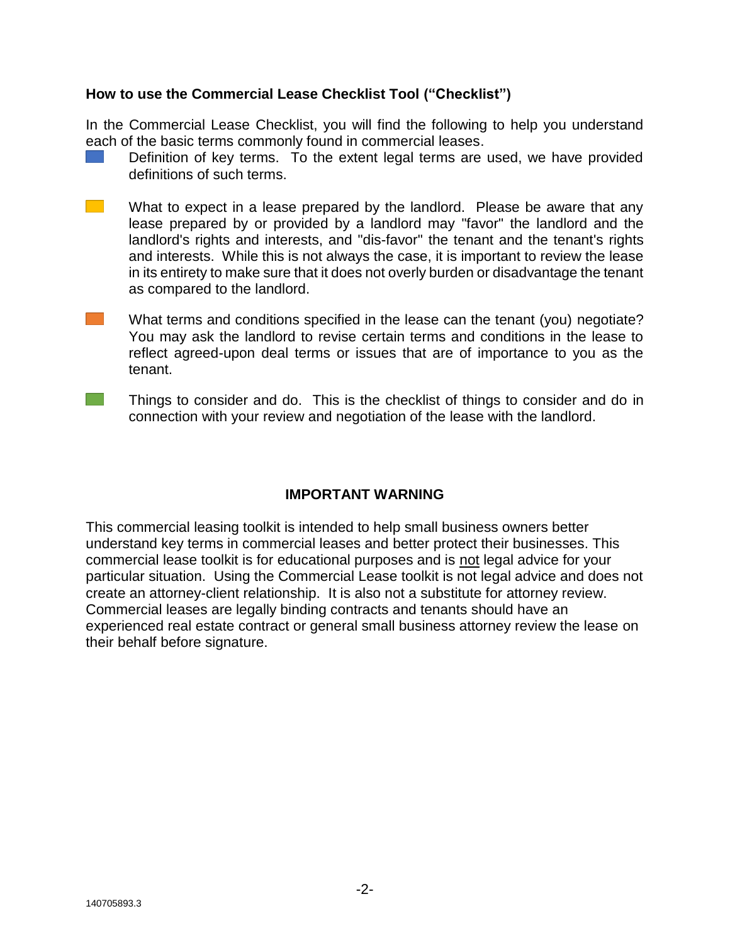### **How to use the Commercial Lease Checklist Tool ("Checklist")**

In the Commercial Lease Checklist, you will find the following to help you understand each of the basic terms commonly found in commercial leases.

- Definition of key terms. To the extent legal terms are used, we have provided definitions of such terms.
- $\mathcal{L}^{\text{max}}_{\text{max}}$ What to expect in a lease prepared by the landlord. Please be aware that any lease prepared by or provided by a landlord may "favor" the landlord and the landlord's rights and interests, and "dis-favor" the tenant and the tenant's rights and interests. While this is not always the case, it is important to review the lease in its entirety to make sure that it does not overly burden or disadvantage the tenant as compared to the landlord.
- What terms and conditions specified in the lease can the tenant (you) negotiate? You may ask the landlord to revise certain terms and conditions in the lease to reflect agreed-upon deal terms or issues that are of importance to you as the tenant.
- $\mathcal{L}^{\text{max}}$ Things to consider and do. This is the checklist of things to consider and do in connection with your review and negotiation of the lease with the landlord.

### **IMPORTANT WARNING**

This commercial leasing toolkit is intended to help small business owners better understand key terms in commercial leases and better protect their businesses. This commercial lease toolkit is for educational purposes and is not legal advice for your particular situation. Using the Commercial Lease toolkit is not legal advice and does not create an attorney-client relationship. It is also not a substitute for attorney review. Commercial leases are legally binding contracts and tenants should have an experienced real estate contract or general small business attorney review the lease on their behalf before signature.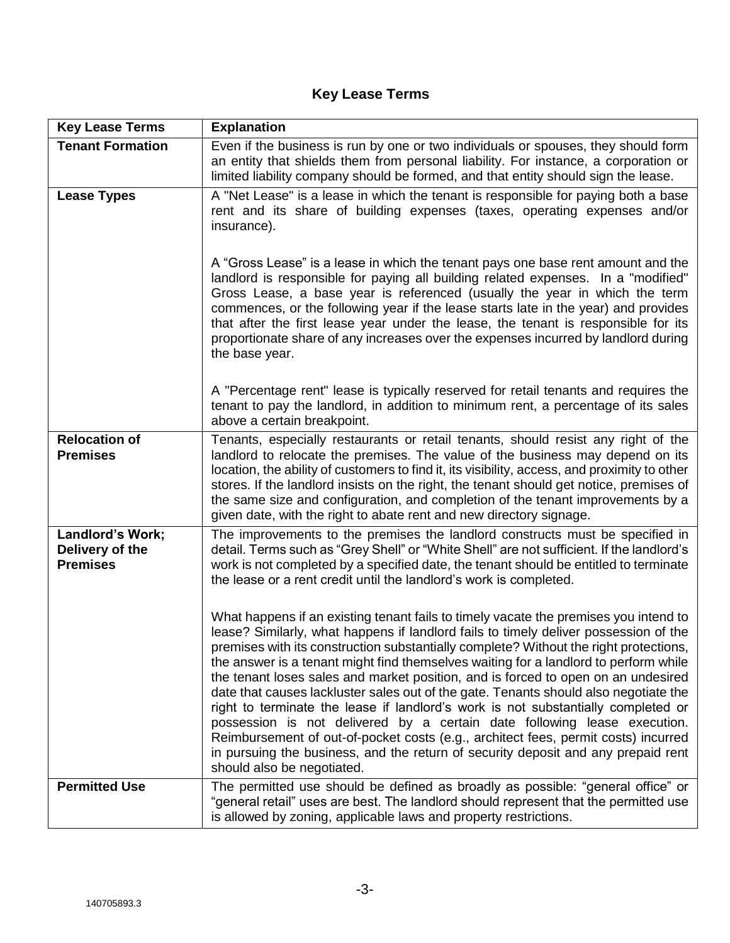# **Key Lease Terms**

| <b>Key Lease Terms</b>                                 | <b>Explanation</b>                                                                                                                                                                                                                                                                                                                                                                                                                                                                                                                                                                                                                                                                                                                                                                                                                                                                                                   |
|--------------------------------------------------------|----------------------------------------------------------------------------------------------------------------------------------------------------------------------------------------------------------------------------------------------------------------------------------------------------------------------------------------------------------------------------------------------------------------------------------------------------------------------------------------------------------------------------------------------------------------------------------------------------------------------------------------------------------------------------------------------------------------------------------------------------------------------------------------------------------------------------------------------------------------------------------------------------------------------|
| <b>Tenant Formation</b>                                | Even if the business is run by one or two individuals or spouses, they should form<br>an entity that shields them from personal liability. For instance, a corporation or<br>limited liability company should be formed, and that entity should sign the lease.                                                                                                                                                                                                                                                                                                                                                                                                                                                                                                                                                                                                                                                      |
| <b>Lease Types</b>                                     | A "Net Lease" is a lease in which the tenant is responsible for paying both a base<br>rent and its share of building expenses (taxes, operating expenses and/or<br>insurance).                                                                                                                                                                                                                                                                                                                                                                                                                                                                                                                                                                                                                                                                                                                                       |
|                                                        | A "Gross Lease" is a lease in which the tenant pays one base rent amount and the<br>landlord is responsible for paying all building related expenses. In a "modified"<br>Gross Lease, a base year is referenced (usually the year in which the term<br>commences, or the following year if the lease starts late in the year) and provides<br>that after the first lease year under the lease, the tenant is responsible for its<br>proportionate share of any increases over the expenses incurred by landlord during<br>the base year.                                                                                                                                                                                                                                                                                                                                                                             |
|                                                        | A "Percentage rent" lease is typically reserved for retail tenants and requires the<br>tenant to pay the landlord, in addition to minimum rent, a percentage of its sales<br>above a certain breakpoint.                                                                                                                                                                                                                                                                                                                                                                                                                                                                                                                                                                                                                                                                                                             |
| <b>Relocation of</b><br><b>Premises</b>                | Tenants, especially restaurants or retail tenants, should resist any right of the<br>landlord to relocate the premises. The value of the business may depend on its<br>location, the ability of customers to find it, its visibility, access, and proximity to other<br>stores. If the landlord insists on the right, the tenant should get notice, premises of<br>the same size and configuration, and completion of the tenant improvements by a<br>given date, with the right to abate rent and new directory signage.                                                                                                                                                                                                                                                                                                                                                                                            |
| Landlord's Work;<br>Delivery of the<br><b>Premises</b> | The improvements to the premises the landlord constructs must be specified in<br>detail. Terms such as "Grey Shell" or "White Shell" are not sufficient. If the landlord's<br>work is not completed by a specified date, the tenant should be entitled to terminate<br>the lease or a rent credit until the landlord's work is completed.                                                                                                                                                                                                                                                                                                                                                                                                                                                                                                                                                                            |
|                                                        | What happens if an existing tenant fails to timely vacate the premises you intend to<br>lease? Similarly, what happens if landlord fails to timely deliver possession of the<br>premises with its construction substantially complete? Without the right protections,<br>the answer is a tenant might find themselves waiting for a landlord to perform while<br>the tenant loses sales and market position, and is forced to open on an undesired<br>date that causes lackluster sales out of the gate. Tenants should also negotiate the<br>right to terminate the lease if landlord's work is not substantially completed or<br>possession is not delivered by a certain date following lease execution.<br>Reimbursement of out-of-pocket costs (e.g., architect fees, permit costs) incurred<br>in pursuing the business, and the return of security deposit and any prepaid rent<br>should also be negotiated. |
| <b>Permitted Use</b>                                   | The permitted use should be defined as broadly as possible: "general office" or<br>"general retail" uses are best. The landlord should represent that the permitted use<br>is allowed by zoning, applicable laws and property restrictions.                                                                                                                                                                                                                                                                                                                                                                                                                                                                                                                                                                                                                                                                          |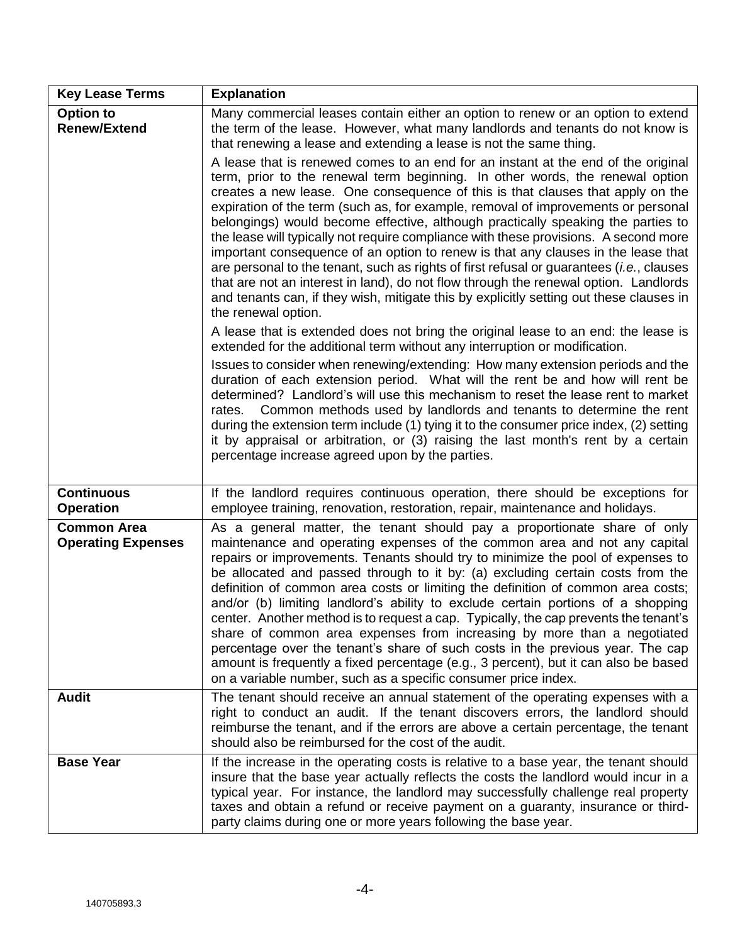| <b>Key Lease Terms</b>                          | <b>Explanation</b>                                                                                                                                                                                                                                                                                                                                                                                                                                                                                                                                                                                                                                                                                                                                                                                                                                                                                                                                                                                                                                                                                                                                                                                                                                                                                                                                                                                                                                                                                                                                                                                                                                                                                                                                                                                                                                                                                                 |
|-------------------------------------------------|--------------------------------------------------------------------------------------------------------------------------------------------------------------------------------------------------------------------------------------------------------------------------------------------------------------------------------------------------------------------------------------------------------------------------------------------------------------------------------------------------------------------------------------------------------------------------------------------------------------------------------------------------------------------------------------------------------------------------------------------------------------------------------------------------------------------------------------------------------------------------------------------------------------------------------------------------------------------------------------------------------------------------------------------------------------------------------------------------------------------------------------------------------------------------------------------------------------------------------------------------------------------------------------------------------------------------------------------------------------------------------------------------------------------------------------------------------------------------------------------------------------------------------------------------------------------------------------------------------------------------------------------------------------------------------------------------------------------------------------------------------------------------------------------------------------------------------------------------------------------------------------------------------------------|
| <b>Option to</b><br><b>Renew/Extend</b>         | Many commercial leases contain either an option to renew or an option to extend<br>the term of the lease. However, what many landlords and tenants do not know is<br>that renewing a lease and extending a lease is not the same thing.<br>A lease that is renewed comes to an end for an instant at the end of the original<br>term, prior to the renewal term beginning. In other words, the renewal option<br>creates a new lease. One consequence of this is that clauses that apply on the<br>expiration of the term (such as, for example, removal of improvements or personal<br>belongings) would become effective, although practically speaking the parties to<br>the lease will typically not require compliance with these provisions. A second more<br>important consequence of an option to renew is that any clauses in the lease that<br>are personal to the tenant, such as rights of first refusal or guarantees ( <i>i.e.</i> , clauses<br>that are not an interest in land), do not flow through the renewal option. Landlords<br>and tenants can, if they wish, mitigate this by explicitly setting out these clauses in<br>the renewal option.<br>A lease that is extended does not bring the original lease to an end: the lease is<br>extended for the additional term without any interruption or modification.<br>Issues to consider when renewing/extending: How many extension periods and the<br>duration of each extension period. What will the rent be and how will rent be<br>determined? Landlord's will use this mechanism to reset the lease rent to market<br>Common methods used by landlords and tenants to determine the rent<br>rates.<br>during the extension term include (1) tying it to the consumer price index, (2) setting<br>it by appraisal or arbitration, or (3) raising the last month's rent by a certain<br>percentage increase agreed upon by the parties. |
| <b>Continuous</b><br><b>Operation</b>           | If the landlord requires continuous operation, there should be exceptions for<br>employee training, renovation, restoration, repair, maintenance and holidays.                                                                                                                                                                                                                                                                                                                                                                                                                                                                                                                                                                                                                                                                                                                                                                                                                                                                                                                                                                                                                                                                                                                                                                                                                                                                                                                                                                                                                                                                                                                                                                                                                                                                                                                                                     |
| <b>Common Area</b><br><b>Operating Expenses</b> | As a general matter, the tenant should pay a proportionate share of only<br>maintenance and operating expenses of the common area and not any capital<br>repairs or improvements. Tenants should try to minimize the pool of expenses to<br>be allocated and passed through to it by: (a) excluding certain costs from the<br>definition of common area costs or limiting the definition of common area costs;<br>and/or (b) limiting landlord's ability to exclude certain portions of a shopping<br>center. Another method is to request a cap. Typically, the cap prevents the tenant's<br>share of common area expenses from increasing by more than a negotiated<br>percentage over the tenant's share of such costs in the previous year. The cap<br>amount is frequently a fixed percentage (e.g., 3 percent), but it can also be based<br>on a variable number, such as a specific consumer price index.                                                                                                                                                                                                                                                                                                                                                                                                                                                                                                                                                                                                                                                                                                                                                                                                                                                                                                                                                                                                   |
| <b>Audit</b>                                    | The tenant should receive an annual statement of the operating expenses with a<br>right to conduct an audit. If the tenant discovers errors, the landlord should<br>reimburse the tenant, and if the errors are above a certain percentage, the tenant<br>should also be reimbursed for the cost of the audit.                                                                                                                                                                                                                                                                                                                                                                                                                                                                                                                                                                                                                                                                                                                                                                                                                                                                                                                                                                                                                                                                                                                                                                                                                                                                                                                                                                                                                                                                                                                                                                                                     |
| <b>Base Year</b>                                | If the increase in the operating costs is relative to a base year, the tenant should<br>insure that the base year actually reflects the costs the landlord would incur in a<br>typical year. For instance, the landlord may successfully challenge real property<br>taxes and obtain a refund or receive payment on a guaranty, insurance or third-<br>party claims during one or more years following the base year.                                                                                                                                                                                                                                                                                                                                                                                                                                                                                                                                                                                                                                                                                                                                                                                                                                                                                                                                                                                                                                                                                                                                                                                                                                                                                                                                                                                                                                                                                              |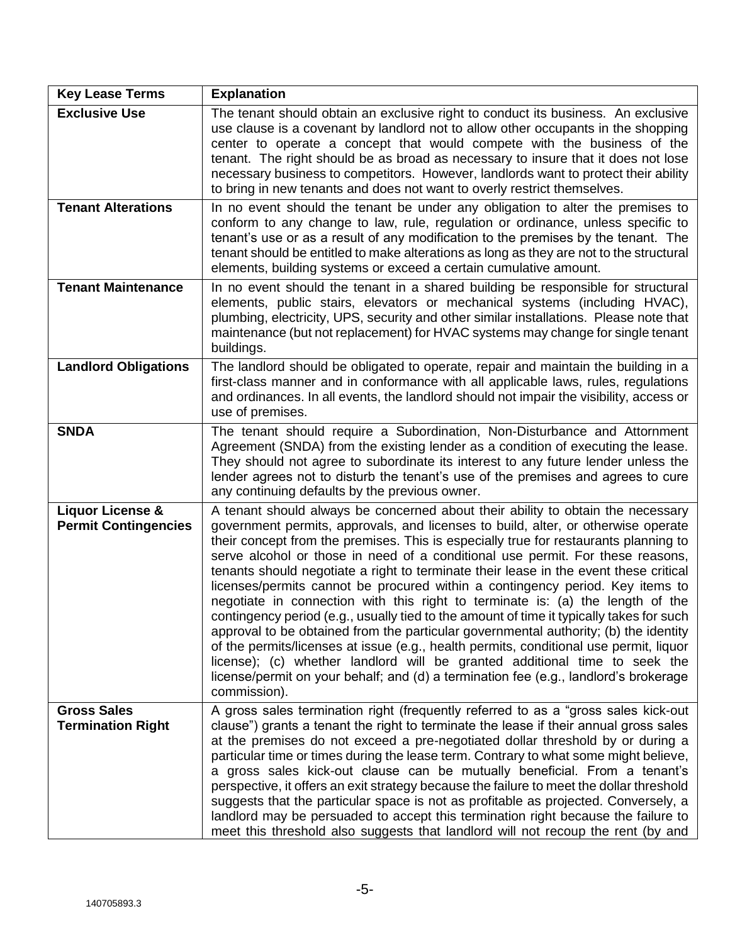| <b>Key Lease Terms</b>                                     | <b>Explanation</b>                                                                                                                                                                                                                                                                                                                                                                                                                                                                                                                                                                                                                                                                                                                                                                                                                                                                                                                                                                                                                                                             |
|------------------------------------------------------------|--------------------------------------------------------------------------------------------------------------------------------------------------------------------------------------------------------------------------------------------------------------------------------------------------------------------------------------------------------------------------------------------------------------------------------------------------------------------------------------------------------------------------------------------------------------------------------------------------------------------------------------------------------------------------------------------------------------------------------------------------------------------------------------------------------------------------------------------------------------------------------------------------------------------------------------------------------------------------------------------------------------------------------------------------------------------------------|
| <b>Exclusive Use</b>                                       | The tenant should obtain an exclusive right to conduct its business. An exclusive<br>use clause is a covenant by landlord not to allow other occupants in the shopping<br>center to operate a concept that would compete with the business of the<br>tenant. The right should be as broad as necessary to insure that it does not lose<br>necessary business to competitors. However, landlords want to protect their ability<br>to bring in new tenants and does not want to overly restrict themselves.                                                                                                                                                                                                                                                                                                                                                                                                                                                                                                                                                                      |
| <b>Tenant Alterations</b>                                  | In no event should the tenant be under any obligation to alter the premises to<br>conform to any change to law, rule, regulation or ordinance, unless specific to<br>tenant's use or as a result of any modification to the premises by the tenant. The<br>tenant should be entitled to make alterations as long as they are not to the structural<br>elements, building systems or exceed a certain cumulative amount.                                                                                                                                                                                                                                                                                                                                                                                                                                                                                                                                                                                                                                                        |
| <b>Tenant Maintenance</b>                                  | In no event should the tenant in a shared building be responsible for structural<br>elements, public stairs, elevators or mechanical systems (including HVAC),<br>plumbing, electricity, UPS, security and other similar installations. Please note that<br>maintenance (but not replacement) for HVAC systems may change for single tenant<br>buildings.                                                                                                                                                                                                                                                                                                                                                                                                                                                                                                                                                                                                                                                                                                                      |
| <b>Landlord Obligations</b>                                | The landlord should be obligated to operate, repair and maintain the building in a<br>first-class manner and in conformance with all applicable laws, rules, regulations<br>and ordinances. In all events, the landlord should not impair the visibility, access or<br>use of premises.                                                                                                                                                                                                                                                                                                                                                                                                                                                                                                                                                                                                                                                                                                                                                                                        |
| <b>SNDA</b>                                                | The tenant should require a Subordination, Non-Disturbance and Attornment<br>Agreement (SNDA) from the existing lender as a condition of executing the lease.<br>They should not agree to subordinate its interest to any future lender unless the<br>lender agrees not to disturb the tenant's use of the premises and agrees to cure<br>any continuing defaults by the previous owner.                                                                                                                                                                                                                                                                                                                                                                                                                                                                                                                                                                                                                                                                                       |
| <b>Liquor License &amp;</b><br><b>Permit Contingencies</b> | A tenant should always be concerned about their ability to obtain the necessary<br>government permits, approvals, and licenses to build, alter, or otherwise operate<br>their concept from the premises. This is especially true for restaurants planning to<br>serve alcohol or those in need of a conditional use permit. For these reasons,<br>tenants should negotiate a right to terminate their lease in the event these critical<br>licenses/permits cannot be procured within a contingency period. Key items to<br>negotiate in connection with this right to terminate is: (a) the length of the<br>contingency period (e.g., usually tied to the amount of time it typically takes for such<br>approval to be obtained from the particular governmental authority; (b) the identity<br>of the permits/licenses at issue (e.g., health permits, conditional use permit, liquor<br>license); (c) whether landlord will be granted additional time to seek the<br>license/permit on your behalf; and (d) a termination fee (e.g., landlord's brokerage<br>commission). |
| <b>Gross Sales</b><br><b>Termination Right</b>             | A gross sales termination right (frequently referred to as a "gross sales kick-out<br>clause") grants a tenant the right to terminate the lease if their annual gross sales<br>at the premises do not exceed a pre-negotiated dollar threshold by or during a<br>particular time or times during the lease term. Contrary to what some might believe,<br>a gross sales kick-out clause can be mutually beneficial. From a tenant's<br>perspective, it offers an exit strategy because the failure to meet the dollar threshold<br>suggests that the particular space is not as profitable as projected. Conversely, a<br>landlord may be persuaded to accept this termination right because the failure to<br>meet this threshold also suggests that landlord will not recoup the rent (by and                                                                                                                                                                                                                                                                                 |